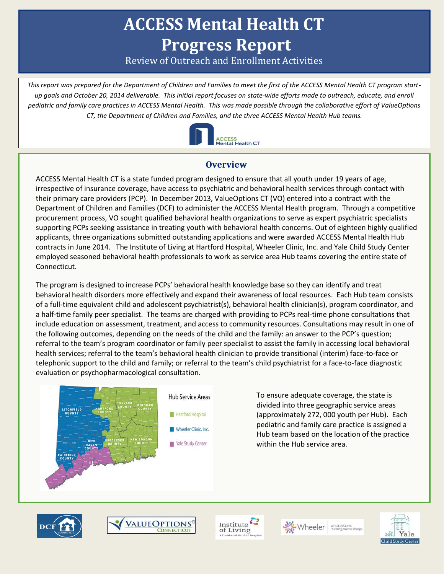# **ACCESS Mental Health CT Progress Report**

Review of Outreach and Enrollment Activities

*This report was prepared for the Department of Children and Families to meet the first of the ACCESS Mental Health CT program startup goals and October 20, 2014 deliverable. This initial report focuses on state-wide efforts made to outreach, educate, and enroll pediatric and family care practices in ACCESS Mental Health. This was made possible through the collaborative effort of ValueOptions CT, the Department of Children and Families, and the three ACCESS Mental Health Hub teams.* 



## **Overview**

ACCESS Mental Health CT is a state funded program designed to ensure that all youth under 19 years of age, irrespective of insurance coverage, have access to psychiatric and behavioral health services through contact with their primary care providers (PCP). In December 2013, ValueOptions CT (VO) entered into a contract with the Department of Children and Families (DCF) to administer the ACCESS Mental Health program. Through a competitive procurement process, VO sought qualified behavioral health organizations to serve as expert psychiatric specialists supporting PCPs seeking assistance in treating youth with behavioral health concerns. Out of eighteen highly qualified applicants, three organizations submitted outstanding applications and were awarded ACCESS Mental Health Hub contracts in June 2014. The Institute of Living at Hartford Hospital, Wheeler Clinic, Inc. and Yale Child Study Center employed seasoned behavioral health professionals to work as service area Hub teams covering the entire state of Connecticut.

The program is designed to increase PCPs' behavioral health knowledge base so they can identify and treat behavioral health disorders more effectively and expand their awareness of local resources. Each Hub team consists of a full-time equivalent child and adolescent psychiatrist(s), behavioral health clinician(s), program coordinator, and a half-time family peer specialist. The teams are charged with providing to PCPs real-time phone consultations that include education on assessment, treatment, and access to community resources. Consultations may result in one of the following outcomes, depending on the needs of the child and the family: an answer to the PCP's question; referral to the team's program coordinator or family peer specialist to assist the family in accessing local behavioral health services; referral to the team's behavioral health clinician to provide transitional (interim) face-to-face or telephonic support to the child and family; or referral to the team's child psychiatrist for a face-to-face diagnostic evaluation or psychopharmacological consultation.



To ensure adequate coverage, the state is divided into three geographic service areas (approximately 272, 000 youth per Hub). Each pediatric and family care practice is assigned a Hub team based on the location of the practice within the Hub service area.





Institute of Living



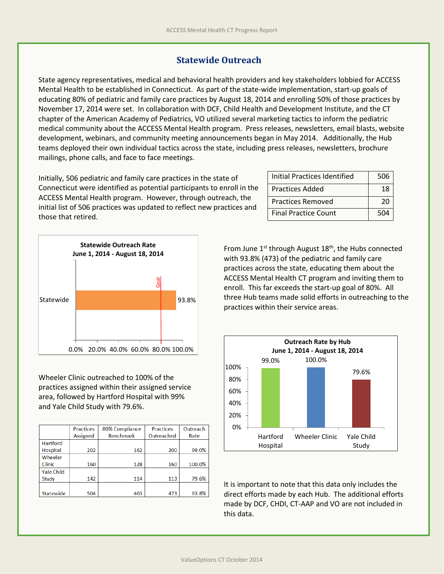#### **Statewide Outreach**

State agency representatives, medical and behavioral health providers and key stakeholders lobbied for ACCESS Mental Health to be established in Connecticut. As part of the state-wide implementation, start-up goals of educating 80% of pediatric and family care practices by August 18, 2014 and enrolling 50% of those practices by November 17, 2014 were set. In collaboration with DCF, Child Health and Development Institute, and the CT chapter of the American Academy of Pediatrics, VO utilized several marketing tactics to inform the pediatric medical community about the ACCESS Mental Health program. Press releases, newsletters, email blasts, website development, webinars, and community meeting announcements began in May 2014. Additionally, the Hub teams deployed their own individual tactics across the state, including press releases, newsletters, brochure mailings, phone calls, and face to face meetings.

Initially, 506 pediatric and family care practices in the state of Connecticut were identified as potential participants to enroll in the ACCESS Mental Health program. However, through outreach, the initial list of 506 practices was updated to reflect new practices and those that retired.

| Initial Practices Identified | 506 |
|------------------------------|-----|
| <b>Practices Added</b>       | 18  |
| <b>Practices Removed</b>     | 20  |
| <b>Final Practice Count</b>  | 504 |



Wheeler Clinic outreached to 100% of the practices assigned within their assigned service area, followed by Hartford Hospital with 99% and Yale Child Study with 79.6%.

|                   | <b>Practices</b><br>Assigned | 80% Compliance<br><b>Benchmark</b> | <b>Practices</b><br>Outreached | Outreach<br>Rate |
|-------------------|------------------------------|------------------------------------|--------------------------------|------------------|
| Hartford          |                              |                                    |                                |                  |
| Hospital          | 202                          | 162                                | 200                            | 99.0%            |
| Wheeler           |                              |                                    |                                |                  |
| Clinic            | 160                          | 128                                | 160                            | 100.0%           |
| <b>Yale Child</b> |                              |                                    |                                |                  |
| Study             | 142                          | 114                                | 113                            | 79.6%            |
|                   |                              |                                    |                                |                  |
| Statewide         | 504                          | 403                                | 473                            | 93.8%            |

From June 1<sup>st</sup> through August 18<sup>th</sup>, the Hubs connected with 93.8% (473) of the pediatric and family care practices across the state, educating them about the ACCESS Mental Health CT program and inviting them to enroll. This far exceeds the start-up goal of 80%. All three Hub teams made solid efforts in outreaching to the practices within their service areas.



It is important to note that this data only includes the direct efforts made by each Hub. The additional efforts made by DCF, CHDI, CT-AAP and VO are not included in this data.